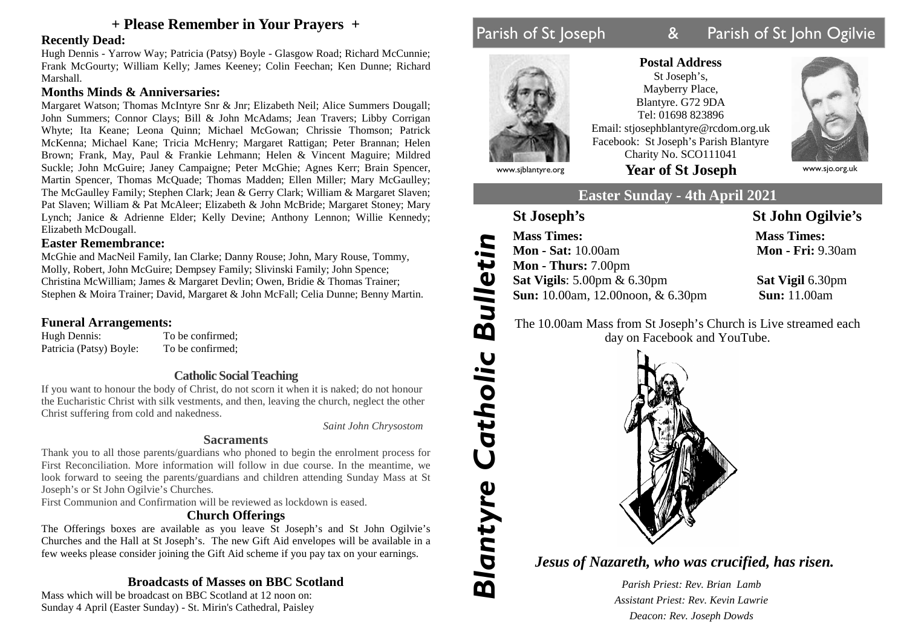## **+ Please Remember in Your Prayers +**

## **Recently Dead:**

Hugh Dennis - Yarrow Way; Patricia (Patsy) Boyle - Glasgow Road; Richard McCunnie; Frank McGourty; William Kelly; James Keeney; Colin Feechan; Ken Dunne; Richard Marshall.

## **Months Minds & Anniversaries:**

Margaret Watson; Thomas McIntyre Snr & Jnr; Elizabeth Neil; Alice Summers Dougall; John Summers; Connor Clays; Bill & John McAdams; Jean Travers; Libby Corrigan Whyte; Ita Keane; Leona Quinn; Michael McGowan; Chrissie Thomson; Patrick McKenna; Michael Kane; Tricia McHenry; Margaret Rattigan; Peter Brannan; Helen Brown; Frank, May, Paul & Frankie Lehmann; Helen & Vincent Maguire; Mildred Suckle; John McGuire; Janey Campaigne; Peter McGhie; Agnes Kerr; Brain Spencer, Martin Spencer, Thomas McQuade; Thomas Madden; Ellen Miller; Mary McGaulley; The McGaulley Family; Stephen Clark; Jean & Gerry Clark; William & Margaret Slaven; Pat Slaven; William & Pat McAleer; Elizabeth & John McBride; Margaret Stoney; Mary Lynch; Janice & Adrienne Elder; Kelly Devine; Anthony Lennon; Willie Kennedy; Elizabeth McDougall.

### **Easter Remembrance:**

McGhie and MacNeil Family, Ian Clarke; Danny Rouse; John, Mary Rouse, Tommy, Molly, Robert, John McGuire; Dempsey Family; Slivinski Family; John Spence; Christina McWilliam; James & Margaret Devlin; Owen, Bridie & Thomas Trainer; Stephen & Moira Trainer; David, Margaret & John McFall; Celia Dunne; Benny Martin.

# **Funeral Arrangements:**<br>Hugh Dennis: To

Patricia (Patsy) Boyle: To be confirmed;

To be confirmed:

## **Catholic Social Teaching**

If you want to honour the body of Christ, do not scorn it when it is naked; do not honour the Eucharistic Christ with silk vestments, and then, leaving the church, neglect the other Christ suffering from cold and nakedness.

*Saint John Chrysostom*

## **Sacraments**

Thank you to all those parents/guardians who phoned to begin the enrolment process for First Reconciliation. More information will follow in due course. In the meantime, we look forward to seeing the parents/guardians and children attending Sunday Mass at St Joseph's or St John Ogilvie's Churches.

First Communion and Confirmation will be reviewed as lockdown is eased.

## **Church Offerings**

The Offerings boxes are available as you leave St Joseph's and St John Ogilvie's Churches and the Hall at St Joseph's. The new Gift Aid envelopes will be available in a few weeks please consider joining the Gift Aid scheme if you pay tax on your earnings.

## **Broadcasts of Masses on BBC Scotland**

Mass which will be broadcast on BBC Scotland at 12 noon on: Sunday 4 April (Easter Sunday) - St. Mirin's Cathedral, Paisley

# Parish of St Joseph 8 Parish of St John Ogilvie



**Postal Address** St Joseph's, Mayberry Place, Blantyre. G72 9DA Tel: 01698 823896 Email: stjosephblantyre@rcdom.org.uk Facebook: St Joseph's Parish Blantyre Charity No. SCO111041 www.sjblantyre.org **Year of St Joseph** www.sjo.org.uk



*Blantyre*

*Catho*

*lic*

*Bu*

*lle*

*tin*

## **Easter Sunday - 4th April 2021**

## **St Joseph's St John Ogilvie's**

 **Sun:** 10.00am, 12.00noon, & 6.30pm **Sun:** 11.00am **Mon - Sat:** 10.00am **Mon - Fri:** 9.30am **Mass Times: Mass Times: Mon - Thurs:** 7.00pm **Sat Vigils**: 5.00pm & 6.30pm **Sat Vigil** 6.30pm

 The 10.00am Mass from St Joseph's Church is Live streamed each day on Facebook and YouTube.



*Jesus of Nazareth, who was crucified, has risen.*

*Parish Priest: Rev. Brian Lamb Assistant Priest: Rev. Kevin Lawrie Deacon: Rev. Joseph Dowds*